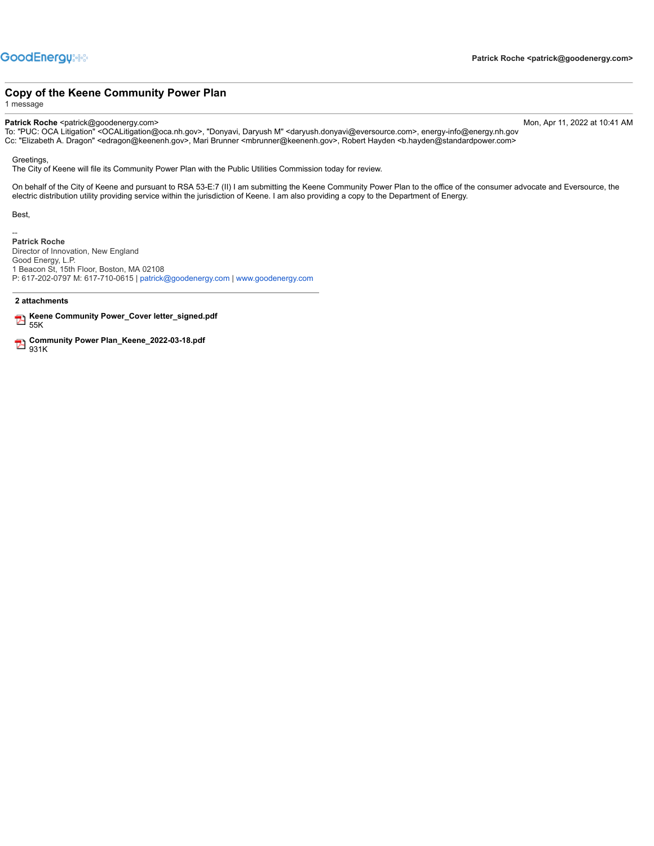## **Copy of the Keene Community Power Plan**

1 message

**Patrick Roche** <patrick@goodenergy.com> Mon, Apr 11, 2022 at 10:41 AM

To: "PUC: OCA Litigation" <OCALitigation@oca.nh.gov>, "Donyavi, Daryush M" <daryush.donyavi@eversource.com>, energy-info@energy.nh.gov Cc: "Elizabeth A. Dragon" <edragon@keenenh.gov>, Mari Brunner <mbrunner@keenenh.gov>, Robert Hayden <b.hayden@standardpower.com>

Greetings,

The City of Keene will file its Community Power Plan with the Public Utilities Commission today for review.

On behalf of the City of Keene and pursuant to RSA 53-E:7 (II) I am submitting the Keene Community Power Plan to the office of the consumer advocate and Eversource, the electric distribution utility providing service within the jurisdiction of Keene. I am also providing a copy to the Department of Energy.

Best,

--

**Patrick Roche** Director of Innovation, New England Good Energy, L.P. 1 Beacon St, 15th Floor, Boston, MA 02108 P: 617-202-0797 M: 617-710-0615 | [patrick@goodenergy.com](mailto:patrick@goodenergy.com) | [www.goodenergy.com](http://www.goodenergy.com/)

### **2 attachments**

- **Keene Community Power\_Cover letter\_signed.pdf** 55K
- **Community Power Plan\_Keene\_2022-03-18.pdf** 931K